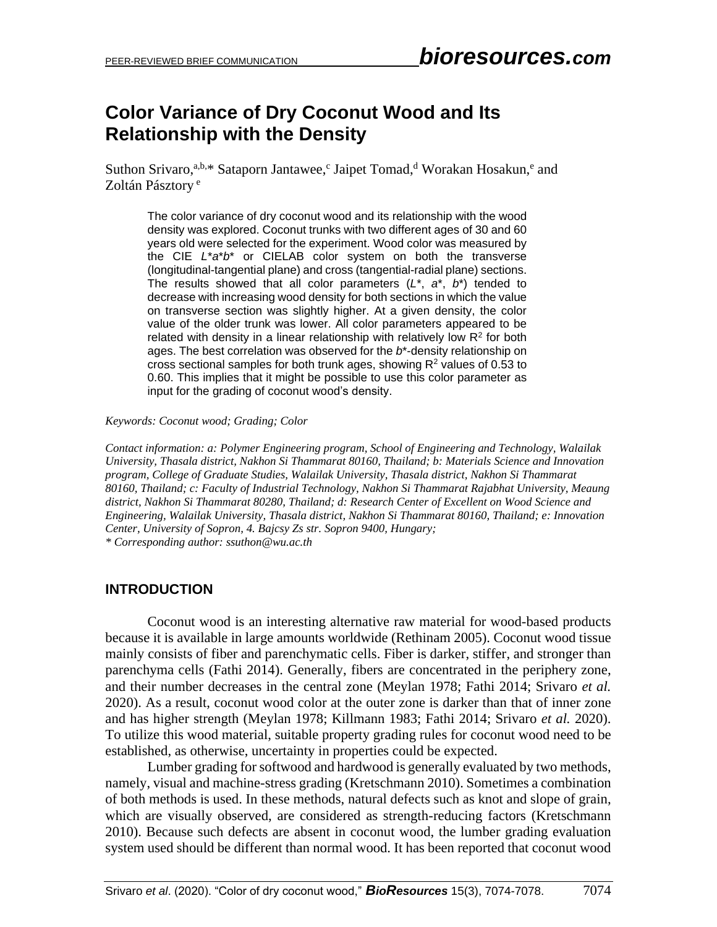# **Color Variance of Dry Coconut Wood and Its Relationship with the Density**

Suthon Srivaro,<sup>a,b,\*</sup> Sataporn Jantawee,<sup>c</sup> Jaipet Tomad,<sup>d</sup> Worakan Hosakun,<sup>e</sup> and Zoltán Pásztory<sup>e</sup>

The color variance of dry coconut wood and its relationship with the wood density was explored. Coconut trunks with two different ages of 30 and 60 years old were selected for the experiment. Wood color was measured by the CIE *L*\**a*\**b*\* or CIELAB color system on both the transverse (longitudinal-tangential plane) and cross (tangential-radial plane) sections. The results showed that all color parameters (*L*\*, *a*\*, *b*\*) tended to decrease with increasing wood density for both sections in which the value on transverse section was slightly higher. At a given density, the color value of the older trunk was lower. All color parameters appeared to be related with density in a linear relationship with relatively low  $R<sup>2</sup>$  for both ages. The best correlation was observed for the *b*\*-density relationship on cross sectional samples for both trunk ages, showing  $R<sup>2</sup>$  values of 0.53 to 0.60. This implies that it might be possible to use this color parameter as input for the grading of coconut wood's density.

### *Keywords: Coconut wood; Grading; Color*

*Contact information: a: Polymer Engineering program, School of Engineering and Technology, Walailak University, Thasala district, Nakhon Si Thammarat 80160, Thailand; b: Materials Science and Innovation program, College of Graduate Studies, Walailak University, Thasala district, Nakhon Si Thammarat 80160, Thailand; c: Faculty of Industrial Technology, Nakhon Si Thammarat Rajabhat University, Meaung district, Nakhon Si Thammarat 80280, Thailand; d: Research Center of Excellent on Wood Science and Engineering, Walailak University, Thasala district, Nakhon Si Thammarat 80160, Thailand; e: Innovation Center, University of Sopron, 4. Bajcsy Zs str. Sopron 9400, Hungary; \* Corresponding author: ssuthon@wu.ac.th*

### **INTRODUCTION**

Coconut wood is an interesting alternative raw material for wood-based products because it is available in large amounts worldwide (Rethinam 2005). Coconut wood tissue mainly consists of fiber and parenchymatic cells. Fiber is darker, stiffer, and stronger than parenchyma cells (Fathi 2014). Generally, fibers are concentrated in the periphery zone, and their number decreases in the central zone (Meylan 1978; Fathi 2014; Srivaro *et al.* 2020). As a result, coconut wood color at the outer zone is darker than that of inner zone and has higher strength (Meylan 1978; Killmann 1983; Fathi 2014; Srivaro *et al.* 2020). To utilize this wood material, suitable property grading rules for coconut wood need to be established, as otherwise, uncertainty in properties could be expected.

Lumber grading for softwood and hardwood is generally evaluated by two methods, namely, visual and machine-stress grading (Kretschmann 2010). Sometimes a combination of both methods is used. In these methods, natural defects such as knot and slope of grain, which are visually observed, are considered as strength-reducing factors (Kretschmann 2010). Because such defects are absent in coconut wood, the lumber grading evaluation system used should be different than normal wood. It has been reported that coconut wood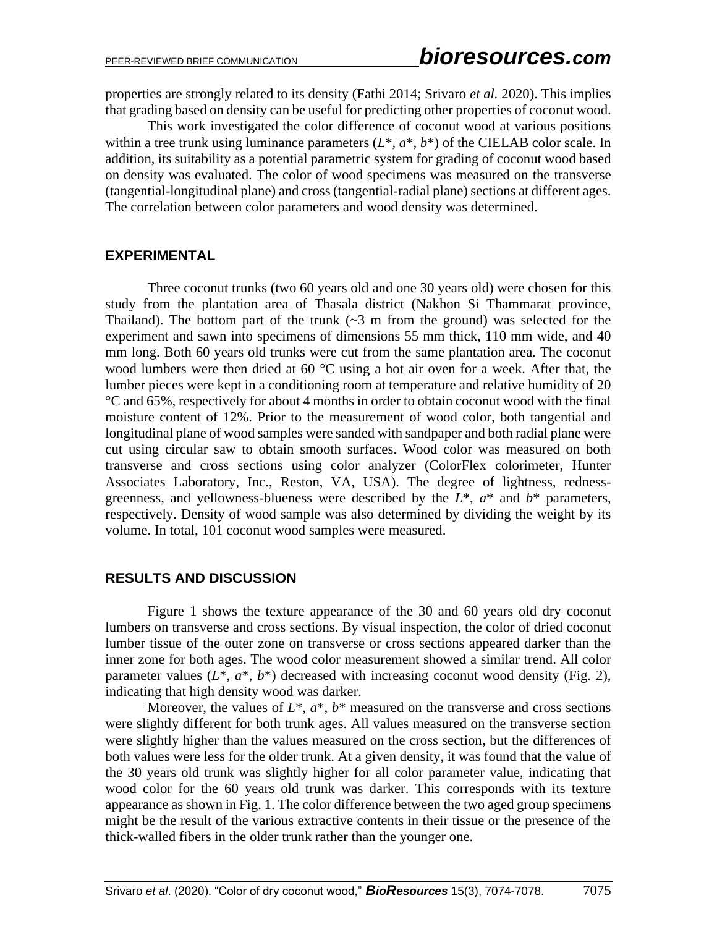properties are strongly related to its density (Fathi 2014; Srivaro *et al.* 2020). This implies that grading based on density can be useful for predicting other properties of coconut wood.

This work investigated the color difference of coconut wood at various positions within a tree trunk using luminance parameters  $(L^*, a^*, b^*)$  of the CIELAB color scale. In addition, its suitability as a potential parametric system for grading of coconut wood based on density was evaluated. The color of wood specimens was measured on the transverse (tangential-longitudinal plane) and cross (tangential-radial plane) sections at different ages. The correlation between color parameters and wood density was determined.

### **EXPERIMENTAL**

Three coconut trunks (two 60 years old and one 30 years old) were chosen for this study from the plantation area of Thasala district (Nakhon Si Thammarat province, Thailand). The bottom part of the trunk  $(-3 \text{ m from the ground})$  was selected for the experiment and sawn into specimens of dimensions 55 mm thick, 110 mm wide, and 40 mm long. Both 60 years old trunks were cut from the same plantation area. The coconut wood lumbers were then dried at 60 °C using a hot air oven for a week. After that, the lumber pieces were kept in a conditioning room at temperature and relative humidity of 20 °C and 65%, respectively for about 4 months in order to obtain coconut wood with the final moisture content of 12%. Prior to the measurement of wood color, both tangential and longitudinal plane of wood samples were sanded with sandpaper and both radial plane were cut using circular saw to obtain smooth surfaces. Wood color was measured on both transverse and cross sections using color analyzer (ColorFlex colorimeter, Hunter Associates Laboratory, Inc., Reston, VA, USA). The degree of lightness, rednessgreenness, and yellowness-blueness were described by the *L*\*, *a*\* and *b*\* parameters, respectively. Density of wood sample was also determined by dividing the weight by its volume. In total, 101 coconut wood samples were measured.

## **RESULTS AND DISCUSSION**

Figure 1 shows the texture appearance of the 30 and 60 years old dry coconut lumbers on transverse and cross sections. By visual inspection, the color of dried coconut lumber tissue of the outer zone on transverse or cross sections appeared darker than the inner zone for both ages. The wood color measurement showed a similar trend. All color parameter values  $(L^*, a^*, b^*)$  decreased with increasing coconut wood density (Fig. 2), indicating that high density wood was darker.

Moreover, the values of  $L^*$ ,  $a^*$ ,  $b^*$  measured on the transverse and cross sections were slightly different for both trunk ages. All values measured on the transverse section were slightly higher than the values measured on the cross section, but the differences of both values were less for the older trunk. At a given density, it was found that the value of the 30 years old trunk was slightly higher for all color parameter value, indicating that wood color for the 60 years old trunk was darker. This corresponds with its texture appearance as shown in Fig. 1. The color difference between the two aged group specimens might be the result of the various extractive contents in their tissue or the presence of the thick-walled fibers in the older trunk rather than the younger one.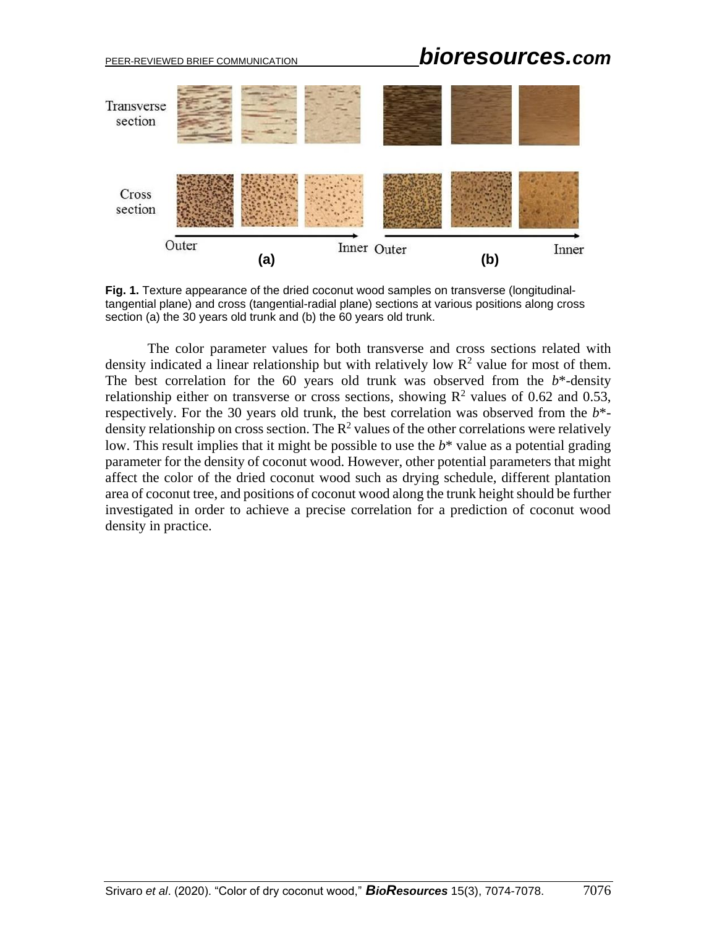# PEER-REVIEWED BRIEF COMMUNICATION *bioresources.com*



**Fig. 1.** Texture appearance of the dried coconut wood samples on transverse (longitudinaltangential plane) and cross (tangential-radial plane) sections at various positions along cross section (a) the 30 years old trunk and (b) the 60 years old trunk.

The color parameter values for both transverse and cross sections related with density indicated a linear relationship but with relatively low  $\mathbb{R}^2$  value for most of them. The best correlation for the  $60$  years old trunk was observed from the  $b^*$ -density relationship either on transverse or cross sections, showing  $R^2$  values of 0.62 and 0.53, respectively. For the 30 years old trunk, the best correlation was observed from the  $b^*$ density relationship on cross section. The  $\mathbb{R}^2$  values of the other correlations were relatively low. This result implies that it might be possible to use the *b*\* value as a potential grading parameter for the density of coconut wood. However, other potential parameters that might affect the color of the dried coconut wood such as drying schedule, different plantation area of coconut tree, and positions of coconut wood along the trunk height should be further investigated in order to achieve a precise correlation for a prediction of coconut wood density in practice.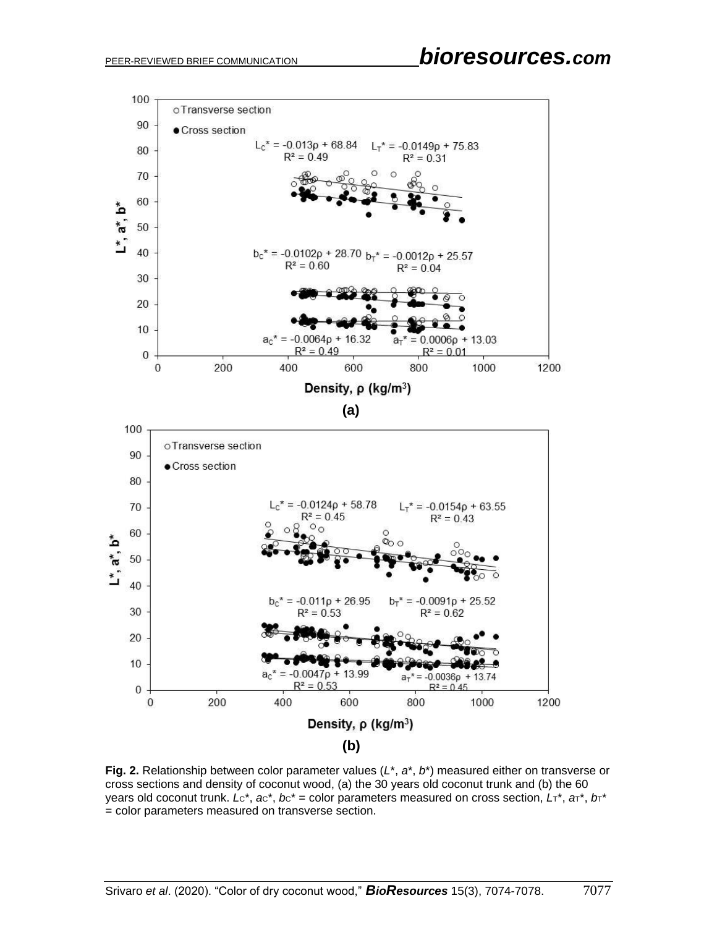

**Fig. 2.** Relationship between color parameter values (*L*\*, *a*\*, *b*\*) measured either on transverse or cross sections and density of coconut wood, (a) the 30 years old coconut trunk and (b) the 60 years old coconut trunk.  $Lc^*$ ,  $ac^*$ ,  $bc^*$  = color parameters measured on cross section,  $L\tau^*$ ,  $a\tau^*$ ,  $b\tau^*$ = color parameters measured on transverse section.